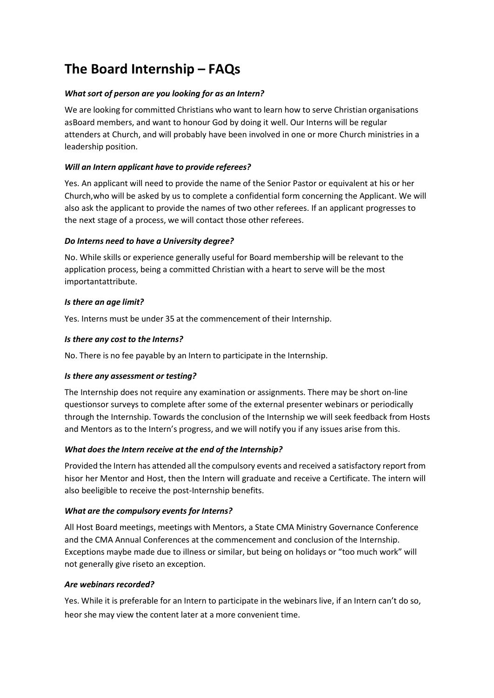# **The Board Internship – FAQs**

# *What sort of person are you looking for as an Intern?*

We are looking for committed Christians who want to learn how to serve Christian organisations asBoard members, and want to honour God by doing it well. Our Interns will be regular attenders at Church, and will probably have been involved in one or more Church ministries in a leadership position.

# *Will an Intern applicant have to provide referees?*

Yes. An applicant will need to provide the name of the Senior Pastor or equivalent at his or her Church,who will be asked by us to complete a confidential form concerning the Applicant. We will also ask the applicant to provide the names of two other referees. If an applicant progresses to the next stage of a process, we will contact those other referees.

## *Do Interns need to have a University degree?*

No. While skills or experience generally useful for Board membership will be relevant to the application process, being a committed Christian with a heart to serve will be the most importantattribute.

## *Is there an age limit?*

Yes. Interns must be under 35 at the commencement of their Internship.

## *Is there any cost to the Interns?*

No. There is no fee payable by an Intern to participate in the Internship.

## *Is there any assessment or testing?*

The Internship does not require any examination or assignments. There may be short on-line questionsor surveys to complete after some of the external presenter webinars or periodically through the Internship. Towards the conclusion of the Internship we will seek feedback from Hosts and Mentors as to the Intern's progress, and we will notify you if any issues arise from this.

## *What does the Intern receive at the end of the Internship?*

Provided the Intern has attended all the compulsory events and received a satisfactory report from hisor her Mentor and Host, then the Intern will graduate and receive a Certificate. The intern will also beeligible to receive the post-Internship benefits.

## *What are the compulsory events for Interns?*

All Host Board meetings, meetings with Mentors, a State CMA Ministry Governance Conference and the CMA Annual Conferences at the commencement and conclusion of the Internship. Exceptions maybe made due to illness or similar, but being on holidays or "too much work" will not generally give riseto an exception.

## *Are webinars recorded?*

Yes. While it is preferable for an Intern to participate in the webinars live, if an Intern can't do so, heor she may view the content later at a more convenient time.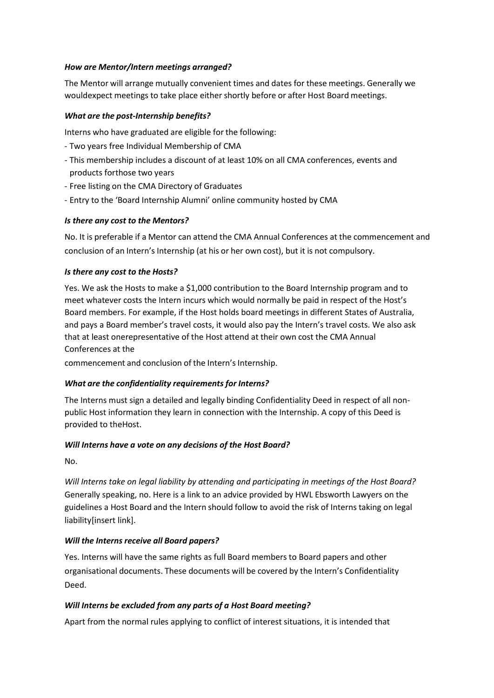#### *How are Mentor/Intern meetings arranged?*

The Mentor will arrange mutually convenient times and dates for these meetings. Generally we wouldexpect meetings to take place either shortly before or after Host Board meetings.

#### *What are the post-Internship benefits?*

Interns who have graduated are eligible for the following:

- Two years free Individual Membership of CMA
- This membership includes a discount of at least 10% on all CMA conferences, events and products forthose two years
- Free listing on the CMA Directory of Graduates
- Entry to the 'Board Internship Alumni' online community hosted by CMA

## *Is there any cost to the Mentors?*

No. It is preferable if a Mentor can attend the CMA Annual Conferences at the commencement and conclusion of an Intern's Internship (at his or her own cost), but it is not compulsory.

#### *Is there any cost to the Hosts?*

Yes. We ask the Hosts to make a \$1,000 contribution to the Board Internship program and to meet whatever costs the Intern incurs which would normally be paid in respect of the Host's Board members. For example, if the Host holds board meetings in different States of Australia, and pays a Board member's travel costs, it would also pay the Intern's travel costs. We also ask that at least onerepresentative of the Host attend at their own cost the CMA Annual Conferences at the

commencement and conclusion of the Intern's Internship.

## *What are the confidentiality requirements for Interns?*

The Interns must sign a detailed and legally binding Confidentiality Deed in respect of all nonpublic Host information they learn in connection with the Internship. A copy of this Deed is provided to theHost.

#### *Will Interns have a vote on any decisions of the Host Board?*

No.

*Will Interns take on legal liability by attending and participating in meetings of the Host Board?* Generally speaking, no. Here is a link to an advice provided by HWL Ebsworth Lawyers on the guidelines a Host Board and the Intern should follow to avoid the risk of Interns taking on legal liability[insert link].

## *Will the Interns receive all Board papers?*

Yes. Interns will have the same rights as full Board members to Board papers and other organisational documents. These documents will be covered by the Intern's Confidentiality Deed.

## *Will Interns be excluded from any parts of a Host Board meeting?*

Apart from the normal rules applying to conflict of interest situations, it is intended that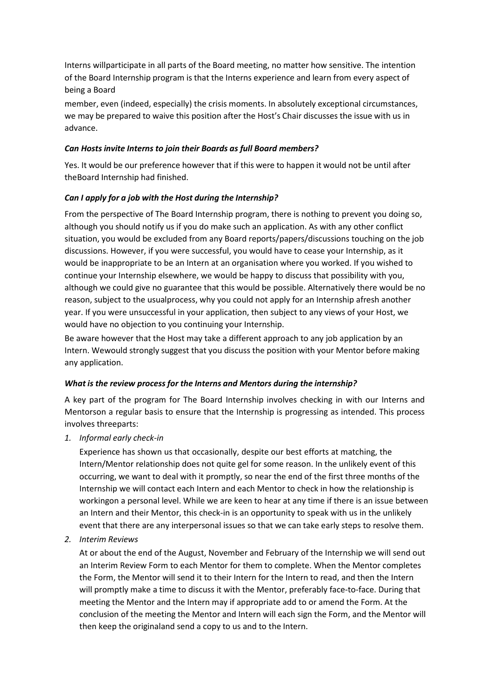Interns willparticipate in all parts of the Board meeting, no matter how sensitive. The intention of the Board Internship program is that the Interns experience and learn from every aspect of being a Board

member, even (indeed, especially) the crisis moments. In absolutely exceptional circumstances, we may be prepared to waive this position after the Host's Chair discusses the issue with us in advance.

#### *Can Hosts invite Interns to join their Boards as full Board members?*

Yes. It would be our preference however that if this were to happen it would not be until after theBoard Internship had finished.

## *Can I apply for a job with the Host during the Internship?*

From the perspective of The Board Internship program, there is nothing to prevent you doing so, although you should notify us if you do make such an application. As with any other conflict situation, you would be excluded from any Board reports/papers/discussions touching on the job discussions. However, if you were successful, you would have to cease your Internship, as it would be inappropriate to be an Intern at an organisation where you worked. If you wished to continue your Internship elsewhere, we would be happy to discuss that possibility with you, although we could give no guarantee that this would be possible. Alternatively there would be no reason, subject to the usualprocess, why you could not apply for an Internship afresh another year. If you were unsuccessful in your application, then subject to any views of your Host, we would have no objection to you continuing your Internship.

Be aware however that the Host may take a different approach to any job application by an Intern. Wewould strongly suggest that you discuss the position with your Mentor before making any application.

#### *What is the review process for the Interns and Mentors during the internship?*

A key part of the program for The Board Internship involves checking in with our Interns and Mentorson a regular basis to ensure that the Internship is progressing as intended. This process involves threeparts:

*1. Informal early check-in*

Experience has shown us that occasionally, despite our best efforts at matching, the Intern/Mentor relationship does not quite gel for some reason. In the unlikely event of this occurring, we want to deal with it promptly, so near the end of the first three months of the Internship we will contact each Intern and each Mentor to check in how the relationship is workingon a personal level. While we are keen to hear at any time if there is an issue between an Intern and their Mentor, this check-in is an opportunity to speak with us in the unlikely event that there are any interpersonal issues so that we can take early steps to resolve them.

*2. Interim Reviews*

At or about the end of the August, November and February of the Internship we will send out an Interim Review Form to each Mentor for them to complete. When the Mentor completes the Form, the Mentor will send it to their Intern for the Intern to read, and then the Intern will promptly make a time to discuss it with the Mentor, preferably face-to-face. During that meeting the Mentor and the Intern may if appropriate add to or amend the Form. At the conclusion of the meeting the Mentor and Intern will each sign the Form, and the Mentor will then keep the originaland send a copy to us and to the Intern.